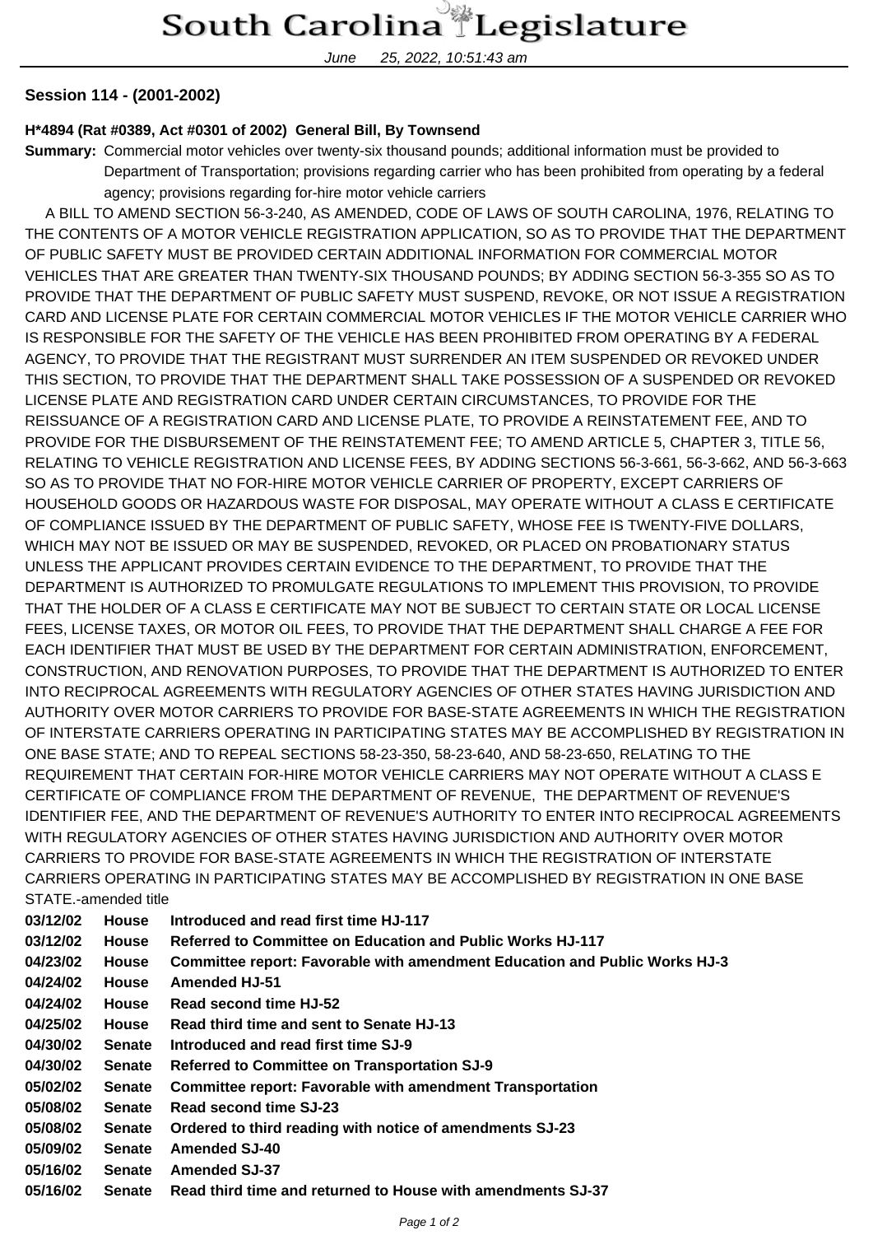June 25, 2022, 10:51:43 am

## **Session 114 - (2001-2002)**

## **H\*4894 (Rat #0389, Act #0301 of 2002) General Bill, By Townsend**

**Summary:** Commercial motor vehicles over twenty-six thousand pounds; additional information must be provided to Department of Transportation; provisions regarding carrier who has been prohibited from operating by a federal agency; provisions regarding for-hire motor vehicle carriers

 A BILL TO AMEND SECTION 56-3-240, AS AMENDED, CODE OF LAWS OF SOUTH CAROLINA, 1976, RELATING TO THE CONTENTS OF A MOTOR VEHICLE REGISTRATION APPLICATION, SO AS TO PROVIDE THAT THE DEPARTMENT OF PUBLIC SAFETY MUST BE PROVIDED CERTAIN ADDITIONAL INFORMATION FOR COMMERCIAL MOTOR VEHICLES THAT ARE GREATER THAN TWENTY-SIX THOUSAND POUNDS; BY ADDING SECTION 56-3-355 SO AS TO PROVIDE THAT THE DEPARTMENT OF PUBLIC SAFETY MUST SUSPEND, REVOKE, OR NOT ISSUE A REGISTRATION CARD AND LICENSE PLATE FOR CERTAIN COMMERCIAL MOTOR VEHICLES IF THE MOTOR VEHICLE CARRIER WHO IS RESPONSIBLE FOR THE SAFETY OF THE VEHICLE HAS BEEN PROHIBITED FROM OPERATING BY A FEDERAL AGENCY, TO PROVIDE THAT THE REGISTRANT MUST SURRENDER AN ITEM SUSPENDED OR REVOKED UNDER THIS SECTION, TO PROVIDE THAT THE DEPARTMENT SHALL TAKE POSSESSION OF A SUSPENDED OR REVOKED LICENSE PLATE AND REGISTRATION CARD UNDER CERTAIN CIRCUMSTANCES, TO PROVIDE FOR THE REISSUANCE OF A REGISTRATION CARD AND LICENSE PLATE, TO PROVIDE A REINSTATEMENT FEE, AND TO PROVIDE FOR THE DISBURSEMENT OF THE REINSTATEMENT FEE; TO AMEND ARTICLE 5, CHAPTER 3, TITLE 56, RELATING TO VEHICLE REGISTRATION AND LICENSE FEES, BY ADDING SECTIONS 56-3-661, 56-3-662, AND 56-3-663 SO AS TO PROVIDE THAT NO FOR-HIRE MOTOR VEHICLE CARRIER OF PROPERTY, EXCEPT CARRIERS OF HOUSEHOLD GOODS OR HAZARDOUS WASTE FOR DISPOSAL, MAY OPERATE WITHOUT A CLASS E CERTIFICATE OF COMPLIANCE ISSUED BY THE DEPARTMENT OF PUBLIC SAFETY, WHOSE FEE IS TWENTY-FIVE DOLLARS, WHICH MAY NOT BE ISSUED OR MAY BE SUSPENDED, REVOKED, OR PLACED ON PROBATIONARY STATUS UNLESS THE APPLICANT PROVIDES CERTAIN EVIDENCE TO THE DEPARTMENT, TO PROVIDE THAT THE DEPARTMENT IS AUTHORIZED TO PROMULGATE REGULATIONS TO IMPLEMENT THIS PROVISION, TO PROVIDE THAT THE HOLDER OF A CLASS E CERTIFICATE MAY NOT BE SUBJECT TO CERTAIN STATE OR LOCAL LICENSE FEES, LICENSE TAXES, OR MOTOR OIL FEES, TO PROVIDE THAT THE DEPARTMENT SHALL CHARGE A FEE FOR EACH IDENTIFIER THAT MUST BE USED BY THE DEPARTMENT FOR CERTAIN ADMINISTRATION, ENFORCEMENT, CONSTRUCTION, AND RENOVATION PURPOSES, TO PROVIDE THAT THE DEPARTMENT IS AUTHORIZED TO ENTER INTO RECIPROCAL AGREEMENTS WITH REGULATORY AGENCIES OF OTHER STATES HAVING JURISDICTION AND AUTHORITY OVER MOTOR CARRIERS TO PROVIDE FOR BASE-STATE AGREEMENTS IN WHICH THE REGISTRATION OF INTERSTATE CARRIERS OPERATING IN PARTICIPATING STATES MAY BE ACCOMPLISHED BY REGISTRATION IN ONE BASE STATE; AND TO REPEAL SECTIONS 58-23-350, 58-23-640, AND 58-23-650, RELATING TO THE REQUIREMENT THAT CERTAIN FOR-HIRE MOTOR VEHICLE CARRIERS MAY NOT OPERATE WITHOUT A CLASS E CERTIFICATE OF COMPLIANCE FROM THE DEPARTMENT OF REVENUE, THE DEPARTMENT OF REVENUE'S IDENTIFIER FEE, AND THE DEPARTMENT OF REVENUE'S AUTHORITY TO ENTER INTO RECIPROCAL AGREEMENTS WITH REGULATORY AGENCIES OF OTHER STATES HAVING JURISDICTION AND AUTHORITY OVER MOTOR CARRIERS TO PROVIDE FOR BASE-STATE AGREEMENTS IN WHICH THE REGISTRATION OF INTERSTATE CARRIERS OPERATING IN PARTICIPATING STATES MAY BE ACCOMPLISHED BY REGISTRATION IN ONE BASE STATE.-amended title

| 03/12/02 | <b>House</b>  | Introduced and read first time HJ-117                                      |
|----------|---------------|----------------------------------------------------------------------------|
| 03/12/02 | House         | Referred to Committee on Education and Public Works HJ-117                 |
| 04/23/02 | <b>House</b>  | Committee report: Favorable with amendment Education and Public Works HJ-3 |
| 04/24/02 | <b>House</b>  | <b>Amended HJ-51</b>                                                       |
| 04/24/02 | House         | Read second time HJ-52                                                     |
| 04/25/02 | House         | Read third time and sent to Senate HJ-13                                   |
| 04/30/02 | <b>Senate</b> | Introduced and read first time SJ-9                                        |
| 04/30/02 | <b>Senate</b> | <b>Referred to Committee on Transportation SJ-9</b>                        |
| 05/02/02 | <b>Senate</b> | <b>Committee report: Favorable with amendment Transportation</b>           |
| 05/08/02 | <b>Senate</b> | Read second time SJ-23                                                     |
| 05/08/02 | <b>Senate</b> | Ordered to third reading with notice of amendments SJ-23                   |
| 05/09/02 | <b>Senate</b> | <b>Amended SJ-40</b>                                                       |
| 05/16/02 | <b>Senate</b> | <b>Amended SJ-37</b>                                                       |
| 05/16/02 | <b>Senate</b> | Read third time and returned to House with amendments SJ-37                |